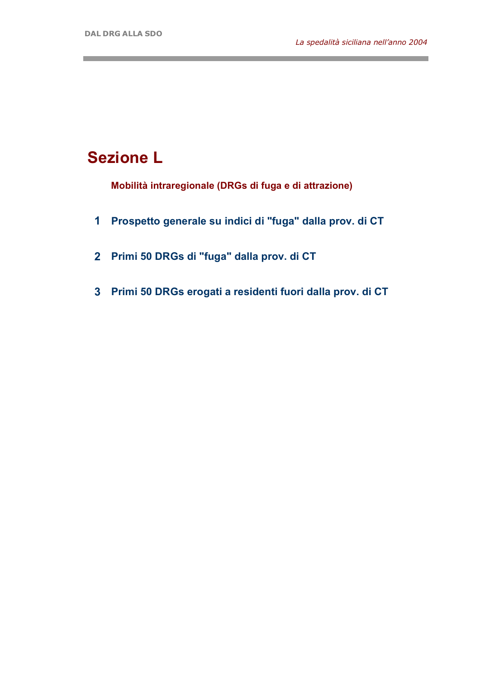and the control of the control of the

## **Sezione L**

**Mobilità intraregionale (DRGs di fuga e di attrazione)**

- **1 Prospetto generale su indici di "fuga" dalla prov. di CT**
- **2 Primi 50 DRGs di "fuga" dalla prov. di CT**
- **3 Primi 50 DRGs erogati a residenti fuori dalla prov. di CT**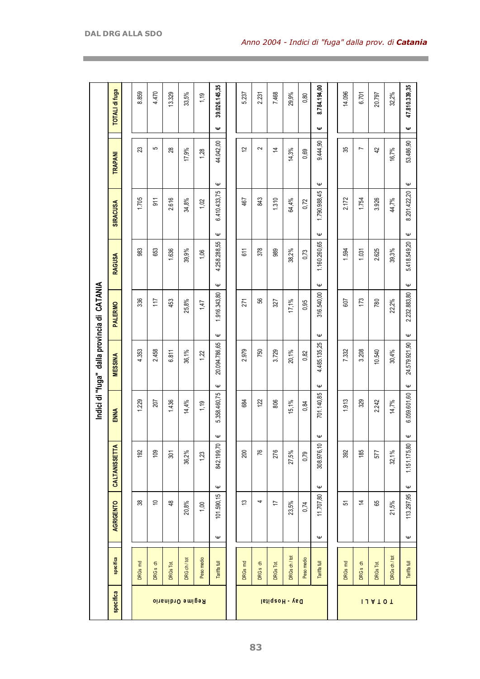|                         |                     |                  |                |                        |              | Indici di "fuga" dalla provincia di CATANIA |                                  |                   |                   |                              |   |                       |
|-------------------------|---------------------|------------------|----------------|------------------------|--------------|---------------------------------------------|----------------------------------|-------------------|-------------------|------------------------------|---|-----------------------|
| specifica               | specifica           |                  | AGRIGENTO      | <b>CALTANISSETTA</b>   | ENNA         | <b>MESSINA</b>                              | <b>PALERMO</b>                   | <b>RAGUSA</b>     | <b>SIRACUSA</b>   | TRAPANI                      |   | <b>TOTALI di fuga</b> |
|                         |                     |                  |                |                        |              |                                             |                                  |                   |                   |                              |   |                       |
|                         | DRGs md             |                  | 38             | 192                    | 1,229        | 4.353                                       | 336                              | 983               | 1,705             | 23                           |   | 8.859                 |
|                         | DRG <sub>s</sub> ch |                  | $\Rightarrow$  | 109                    | 207          | 2.458                                       | 117                              | 653               | 911               | 5                            |   | 4.470                 |
|                         | DRGs Tot            |                  | $\frac{48}{5}$ | 301                    | 1.436        | 6.811                                       | 453                              | 1.636             | 2.616             | 28                           |   | 13.329                |
| <b>Regime Ordinario</b> | DRG ch / tot        |                  | 20,8%          | 36,2%                  | 14,4%        | 36,1%                                       | 25,8%                            | 39,9%             | 34,8%             | 17,9%                        |   | 33,5%                 |
|                         | Peso medio          |                  | 1,00           | 1,23                   | 1,19         | 1,22                                        | 1,47                             | 1,06              | 1,02              | 1,28                         |   | 1,19                  |
|                         | Tariffa full        | $\mathsf \omega$ | 101.590,15     | Ψ<br>842.199,70<br>Ψ   | 5.358.460,75 | 20.094.786,65<br>Ψ                          | 1.916.343,80<br>Ψ                | 4.258.288,55<br>Ψ | 6.410.433,75<br>Ψ | 44.042,00<br>Ψ               | Ψ | 39.026.145,35         |
|                         |                     |                  |                |                        |              |                                             |                                  |                   |                   |                              |   |                       |
|                         | DRGs md             |                  | చ              | 200                    | 684          | 2.979                                       | 271                              | 611               | 467               | 12                           |   | 5.237                 |
|                         | DRG <sub>s</sub> ch |                  | 4              | 76                     | 122          | 750                                         | 99                               | 378               | 843               | $\sim$                       |   | 2.231                 |
| Day - Hospital          | DRGs Tot            |                  | 17             | 276                    | 806          | 3.729                                       | 327                              | 989               | 1.310             | $\overline{4}$               |   | 7.468                 |
|                         | DRGs ch / tot       |                  | 23,5%          | 27,5%                  | $15, 1\%$    | 20,1%                                       | 17,1%                            | 38,2%             | 64,4%             | 14,3%                        |   | 29,9%                 |
|                         | Peso medio          |                  | 0,74           | 0,79                   | 0,84         | 0,82                                        | 0,95                             | 0,73              | 0,72              | 0,69                         |   | 0,80                  |
|                         | Tariffa full        | Ψ                | 11.707,80      | Ψ<br>308.976,10<br>Ψ   | 701.140,85   | 4.485.135,25<br>Ψ                           | 316.540,00<br>Ψ                  | 1.160.260,65<br>Ψ | 1.790.988,45<br>Ψ | 9.444,90<br>$\mathsf \omega$ | Ψ | 8.784.194,00          |
|                         |                     |                  |                |                        |              |                                             |                                  |                   |                   |                              |   |                       |
|                         | DRGs md             |                  | 5              | 392                    | 1.913        | 7.332                                       | 607                              | 1.594             | 2.172             | 35                           |   | 14.096                |
|                         | DRG <sub>s</sub> ch |                  | $\overline{4}$ | 185                    | 329          | 3.208                                       | 173                              | 1.031             | 1.754             | $\overline{ }$               |   | 6.701                 |
| 114101                  | DRGs Tot            |                  | 89             | 577                    | 2.242        | 10.540                                      | 780                              | 2.625             | 3.926             | $\overline{4}$               |   | 20.797                |
|                         | DRGs ch / tot       |                  | 21,5%          | $32,1\%$               | 14,7%        | 30,4%                                       | 22,2%                            | 39,3%             | 44,7%             | 16,7%                        |   | 32.2%                 |
|                         | Tariffa full        | $\mathsf \Psi$   | 113.297,95     | Ψ<br>1.151.175,80<br>Ψ | 6.059.601,60 | 24.579.921,90<br>$\mathsf \omega$           | 2.232.883,80<br>$\mathsf \omega$ | 5.418.549,20<br>Ψ | 8.201.422,20<br>Ψ | 53.486,90<br>Ψ               | Ψ | 47.810.339,35         |

the control of the control of the control of the control of the control of the control of the control of the control of the control of the control of the control of the control of the control of the control of the control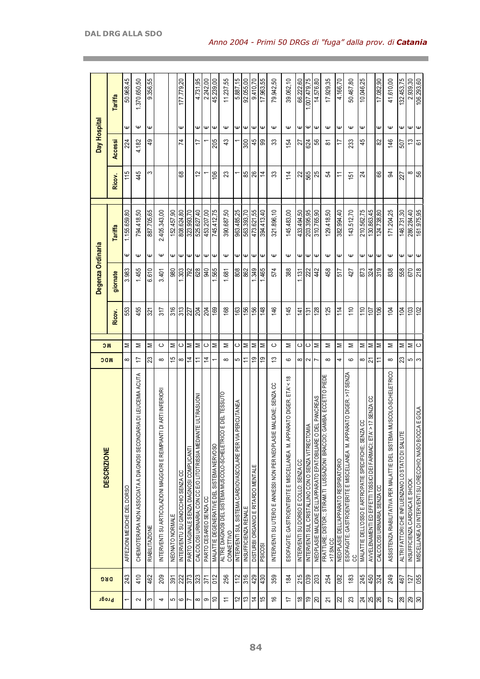| Progr                                | DRG              | <b>DESCRIZIONE</b>                                                                   | <b>NDC</b>     | <b>NC</b> |                  | Degenza Ordinaria |                  |              |          | Day Hospital |                  |              |
|--------------------------------------|------------------|--------------------------------------------------------------------------------------|----------------|-----------|------------------|-------------------|------------------|--------------|----------|--------------|------------------|--------------|
|                                      |                  |                                                                                      |                |           | Ricov.           | giornate          |                  | Tariffa      | Ricov.   | Accessi      |                  | Tariffa      |
|                                      | 243              | AFFEZIONI MEDICHE DEL DORSO                                                          | ∞              | Σ         | 553              | 3.983             | Ψ                | 1.155.659,80 | 115      | 224          | Ψ                | 50.968,45    |
| 2                                    | 410              | CHEMIOTERAPIA NON ASSOCIATA A DIAGNOSI SECONDARIA DI LEUCEMIA ACUTA                  | 17             | Σ         | 455              | 1.455             | Ψ                | 794.418,50   | 45       | 4.182        | Ψ                | 1.370.650,50 |
| S                                    | 462              | RIABILITAZIONE                                                                       | 23             | Σ         | 321              | 6.610             | Ψ                | 887.705,65   | က        | 9            | Ψ                | 9.356,55     |
| 4                                    | 209              | DI ARTI INFERIORI<br>NTERVENTI SU ARTICOLAZIONI MAGGIORI E REIMPIANTI                | $\infty$       | ပ         | 317              | 3.401             | Ψ                | 2.405.343,00 |          |              |                  |              |
| ص                                    | 391              | NEONATO NORMALE                                                                      | 15             | Σ         | 316              | 980               | Ψ                | 152.457,90   |          |              |                  |              |
| $\rm \omega$                         | $\frac{22}{373}$ | INTERVENTU SU GINOCCHIO SENZA CC                                                     | $\infty$       | $\circ$   | 313              | 1.303             | $\mathsf \omega$ | 808.624,80   | 89       | 74           | Ψ                | 177.779,20   |
| $\overline{ }$                       |                  | PARTO VAGINALE SENZA DIAGNOSI COMPLICANTI                                            | $\overline{4}$ | Σ         | 227              | 792               | Ψ                | 323.993,70   |          |              |                  |              |
| $\infty$                             | $\frac{23}{27}$  | E ULTRASUON<br>CALCOLOSI URINARIA; CON CC E/O LITOTRISSIA MEDIANT                    | Ξ              | Σ         | 204              | 628               | $\mathsf \Psi$   | 525.627,40   | 12       | 17           | Ψ                | 4.731,95     |
| ၜ                                    |                  | PARTO CESAREO SENZA CC                                                               | 4              | ပ         | 204              | 940               | Ψ                | 453.207.00   |          |              | Ψ                | 2.242,00     |
| $\tilde{=}$                          | 012              | MALATTIE DEGENERATIVE DEL SISTEMA NERVOSO                                            |                | Σ         | 169              | 565               | Ψ                | 745.412.75   | 106      | 205          | Ψ                | 45.239,00    |
| $\tilde{r}$                          | 256              | E DEL TESSUTO<br><b>ALTRE DIAGNOSI DEL SISTEMA MUSCOLO-SCHELETRICO</b><br>CONNETTIVO | $\infty$       | Σ         | 168              | 1.681             | $\mathsf \omega$ | 390.687,50   | 23       | 43           | $\mathsf \omega$ | 11.237,55    |
| 57                                   | 112              | ERCUTANEA<br>INTERVENTI SUL SISTEMA CARDIOVASCOLARE PER VIA P                        | 5              | ပ         | 163              | 808               | Ψ                | 963.485,25   |          |              | Ψ                | 5.887,15     |
| ಐ                                    | 316              | INSUFFICIENZA RENALE                                                                 | Ξ              | Σ         | 156              | 862               | $\mathsf \omega$ | 563.393,70   | 85       | 800          | $\mathsf \Psi$   | 92.055,00    |
| $\overline{4}$                       | 429              | DISTURBI ORGANICI E RITARDO MENTALE                                                  | 6Ļ             | Σ         | 156              | 1.349             | Ψ                | 473.621,55   | 26       | 45           | Ψ                | 9.410.70     |
| 15                                   | 430              | <b>PSICOSI</b>                                                                       | e)             | Σ         | 148              | 1.465             | Ψ                | 394.413.40   | 4        | 99           | Ψ                | 17.963,55    |
| $\frac{6}{5}$                        | 359              | MALIGNE; SENZA CC<br>INTERVENTI SU UTERO E ANNESSI NON PER NEOPLASIE                 | $\tilde{c}$    | ပ         | 146              | 574               | Ψ                | 321.896,10   | 33       | ౢ            | $\mathsf \omega$ | 79.942,50    |
| 17                                   | 184              | RATO DIGER. ETA' < 18<br>ESOFAGITE; GASTROENTERITE E MISCELLANEA M. APPA             | ဖ              | Σ         | 145              | 388               | Ψ                | 145.483,00   | 114      | 154          | Ψ                | 39.062,10    |
| $\overset{\infty}{\phantom{\alpha}}$ | 215              | INTERVENTI SU DORSO E COLLO; SENZA CC                                                | $\infty$       | ပ         | 141              | 1.131             | Ψ                | 433.494,50   | 22       | 27           | Ψ                | 66.222.60    |
| စ္                                   | 039              | ≦<br>INTERVENTI SUL CRISTALLINO CON O SENZA VITRECTOM                                | $\sim$         | ပ         | $\overline{131}$ | 222               | Ψ                | 203.395,95   | 565      | 624          | Ψ                | 1.007.479.75 |
| $\infty$                             | 203              | NEOPLASIE MALIGNE DELL'APPARATO EPATOBILIARE O DEL PANCREAS                          |                | Σ         | 128              | 442               | Ψ                | 310.765,90   | 25       | SS           | Ψ                | 14.576,80    |
| 21                                   | 254              | FRATTURE; DISTOR.; STIRAM.TI LUSSAZIONI BRACCIO; GAMBA; ECCETTO PIEDE<br>>17 SN CC   | $\infty$       | Σ         | 125              | 458               | Ψ                | 129.418,50   | 54       | ౚ            | $\mathsf \omega$ | 17.929,35    |
| $\boldsymbol{\mathcal{Z}}$           | 082              | NEOPLASIE DELL'APPARATO RESPIRATORIO                                                 | 4              | Σ         | 114              | 517               | Ψ                | 382.994,40   | Ξ        | ₽            | Ψ                | 4.166,70     |
| 23                                   | 183              | RATO DIGER. >17 SENZA<br>ESOFAGITE; GASTROENTERITE E MISCELLANEA M. APPA<br>CC       | ဖ              | Σ         | 110              | 427               | Ψ                | 143.512,70   | 151      | 233          | $\mathsf \omega$ | 50.467,80    |
|                                      | 245              | MALATTIE DELL'OSSO E ARTROPATIE SPECIFICHE; SENZA CC                                 | ∞              | Σ         | 110              | 873               | Ψ                | 210.562,75   | 24       | 45           | Ψ                | 10.046,25    |
| ম $ \mathbb{R} $ ধি                  | 450              | > 17 SENZA CC<br>AVVELENAMENTI ED EFFETTI TOSSICI DEI FARMACI; ETA'                  | 21             | Σ         | 107              | 324               | Ψ                | 130.863,45   |          |              |                  |              |
|                                      | 324              | CALCOLOSI URINARIA; SENZA CC                                                         | Ξ              | Σ         | 106              | 319               | Ψ                | 124.738,80   | 89       | 82           | Ψ                | 17.082.90    |
| 27                                   | 249              | MUSCOLO-SCHELETRICO<br>ASSISTENZA RIABILITATIVA PER MALATT IE DEL SISTEMA            | $\infty$       | Σ         | 104              | 838               | Ψ                | 171.204,25   | 34       | 146          | Ψ                | 41.610,00    |
| $\frac{8}{2}$                        | 467              | ALTRI FATTORI CHE INFLUENZANO LO STATO DI SALUTE                                     | 23             | Σ         | 104              | 558               | Ψ                | 146.731,30   | 227      | 507          | Ψ                | 132.453,75   |
| 29                                   | 127              | INSUFFICIENZA CARDIACA E SHOCK                                                       | 5              | Σ         | 103              | 670               | Ψ                | 286.284,40   | $\infty$ | 13           | Ψ                | 2.939,30     |
| $\infty$                             | 055              | <b>ALGOLA</b><br>MISCELLANEA DI INTERVENTI SU ORECCHIO; NASO BOCC                    | S              | $\circ$   | 102              | 218               | Ψ                | 161.975,95   | 99       | 61           | Ψ                | 106.293,60   |

the control of the control of the control of the control of the control of the control of the control of the control of the control of the control of the control of the control of the control of the control of the control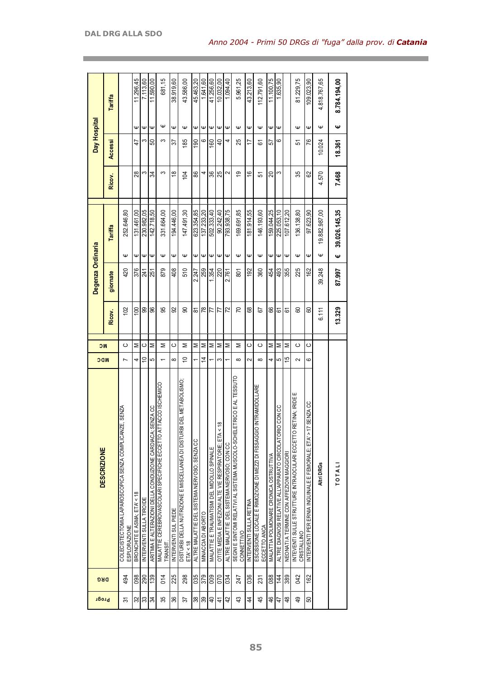| Progr          | DRG | <b>DESCRIZIONE</b>                                                                  | <b>NDC</b> | <b>NC</b> |                 | Degenza Ordinaria |   |                |                      | Day Hospital   |                |              |
|----------------|-----|-------------------------------------------------------------------------------------|------------|-----------|-----------------|-------------------|---|----------------|----------------------|----------------|----------------|--------------|
|                |     |                                                                                     |            |           | Ricov.          | giornate          |   | <b>Tariffa</b> | Ricov.               | Accessi        |                | Tariffa      |
| స్             | 494 | ZE, SENZA<br>COLECIST ECTOMIA LAPAROSCOPICA SENZA COMPLICAN<br><b>ESPLORAZIONE</b>  | Ľ          | ပ         | 102             | 420               | Ψ | 252.646,80     |                      |                |                |              |
| 32             | 098 | BRONCHITE E ASMA: ETA' < 18                                                         | 4          | Σ         | $\frac{100}{2}$ | 376               | Ψ | 131.461.00     | 28                   | 47             | Ψ              | 11.296,45    |
| 33             | 290 | INTERVENTI SULLA TIROIDE                                                            | S          | ပ         | 99              | 241               | Ψ | 230.982,05     | ς                    | ς              | Ψ              | 7.113,60     |
| श्र            | 139 | SENZA CC<br>ARITMIA E ALTERAZIONI DELLA CONDUZIONE CARDIACA;                        | 5          | Σ         | 8               | 251               | Ψ | 142.718,50     | 34                   | 50             | $\mathsf \Psi$ | 11.590,00    |
| 35             | 014 | MALATTIE CEREBROVASCOLARI SPECIFICHE ECCETTO ATTACCO ISCHEMICO<br>TRANSIT           |            | Σ         | 95              | 879               | Ψ | 331.664,00     | S                    | ς              | Ψ              | 681,15       |
| 86             | 225 | INTERVENTI SUL PIEDE                                                                | $\infty$   | ပ         | 92              | 408               | Ψ | 194.446,00     | $\overset{\circ}{=}$ | 57             | Ψ              | 38.919,60    |
| 22             | 298 | DEL METABOLISMO<br>DISTURBI DELLA NUTRIZIONE E MISCELLANEA DI DISTURBI<br>ETA' < 18 | ă          | Σ         | ၼ               | 510               | Ψ | 147.491,30     | 104                  | 185            | Ψ              | 43.586,00    |
| $\frac{8}{3}$  | 035 | ALTRE MALATTIE DEL SISTEMA NERVOSO; SENZA CC                                        |            | Σ         | ౚ               | 2.247             | Φ | 623.354,85     | 88                   | 190            | Ψ              | 45.463,20    |
| 89             | 379 | MINACCIA DI ABORTO                                                                  | 4          | Σ         | $\frac{8}{2}$   | 259               | Ψ | 137.233,20     | 4                    | ဖ              | Ψ              | 1.641,60     |
| $\overline{a}$ | 009 | MALATTIE E TRAUMATISMI DEL MIDOLLO SPINALE                                          |            | Σ         | 77              | 354               | Ψ | 502.333.40     | 36                   | <b>SO</b>      | Ψ              | 41.256,60    |
| 4              | 070 | $\frac{8}{10}$<br>OTITE MEDIA E INFEZIONI ALTE VIE RESPIRATORIE; ETA <              | S          | Σ         | 77              | 220               | Ψ | 90.242.40      | 25                   | $\overline{a}$ | Ψ              | 10.032,00    |
| 42             | 034 | ALTRE MALATTIE DEL SISTEMA NERVOSO; CON CC                                          |            | Σ         | 22              | 2.761             | Ψ | 793.938,75     | 2                    | 4              | Ψ              | 1.094,40     |
| $\frac{3}{2}$  | 247 | SEGNI E SINTOMI RELATIVI AL SISTEMA MUSCOLO-SCHELETRICO E AL TESSUTO<br>CONNETTIVO  | $^{\circ}$ | Σ         | 20              | 801               | Ψ | 169.691,85     | ഇ                    | 25             | Ψ              | 5.961,25     |
| 4              | 036 | INTERVENTI SULLA RETINA                                                             | 2          | ပ         | 89              | 192               | Ψ | 81.914,55      | $\frac{6}{5}$        | 17             | Ψ              | 43.213,60    |
| 45             | 231 | ESCISSIONE LOCALE E RIMOZIONE DI MEZZI DI FISSAGGIO INTRAMIDOLLARE<br>ECCETTO ANCA  | $\infty$   | ပ         | 5               | 360               | Ψ | 146.193,60     | 57                   | 6              | Ψ              | 112.791,60   |
| \$             | 088 | MALATTIA POLMONARE CRONICA OSTRUTTIVA                                               | 4          | Σ         | 88              | 454               | Ψ | 159.044.25     | 20                   | 57             | Ψ              | 11.100.75    |
| $\ddot{4}$     | 144 | ALTRE DIAGNOSI RELATIVE ALL'APPARATO CIRCOLATORIO CON CC                            | 5          | Σ         | 61              | 493               | Ψ | 225.053,10     | ო                    | ဖ              | $\mathsf \Psi$ | 1.635,90     |
| \$             | 389 | NEONATI A TERMINE CON AFFEZIONI MAGGIORI                                            | 으          | Σ         | 61              | 355               | Ψ | 107.612,20     |                      |                |                |              |
| \$             | 042 | ш<br>RETINA; IRIDE<br>INTEVENTI SULLE STRUTTURE INTRAOCULARI ECCETTO<br>CRISTALLINO | $\sim$     | ပ         | 8               | 225               | Ψ | 136.138,80     | 35                   | 으              | Ψ              | 81.229,75    |
| 50             | 162 | 7 SENZA CC<br>INTERVENTI PER ERNIA INGUINALE E FEMORALE; ETA' >                     | ဖ          | ပ         | 8               | 162               | Ψ | 97.623,90      | 29                   | 76             | Ψ              | 109.023,90   |
|                |     | Altri DRGs                                                                          |            |           | 6.111           | 39.248            | Ψ | 19.882.987,00  | 4.570                | 10.024         | Ψ              | 4.818.767,65 |
|                |     | TOTALI                                                                              |            |           | 13.329          | 87.997            | Ψ | 39.026.145,35  | 7.468                | 18.361         | Ψ              | 8.784.194,00 |

the control of the control of the control of the control of the control of

and the control of the control of the control of the control of the control of the control of the control of the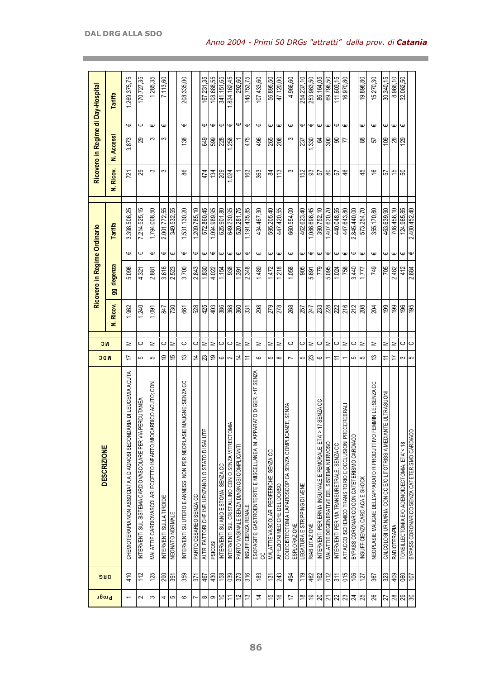| Progr                                                                                                                                                                                                                                                                                                                                                                                                                                                                                                                                                                                                                                                                                   | <b>DRG</b>      | <b>DESCRIZIONE</b>                                                             | <b>NDC</b>     | <b>NC</b> |                 | Ricovero in Regime Ordinario |                  |              |               |                   |                  | Ricovero in Regime di Day-Hospital |
|-----------------------------------------------------------------------------------------------------------------------------------------------------------------------------------------------------------------------------------------------------------------------------------------------------------------------------------------------------------------------------------------------------------------------------------------------------------------------------------------------------------------------------------------------------------------------------------------------------------------------------------------------------------------------------------------|-----------------|--------------------------------------------------------------------------------|----------------|-----------|-----------------|------------------------------|------------------|--------------|---------------|-------------------|------------------|------------------------------------|
|                                                                                                                                                                                                                                                                                                                                                                                                                                                                                                                                                                                                                                                                                         |                 |                                                                                |                |           | N. Ricov.       | degenza<br>99                |                  | Tariffa      | N. Ricov.     | <b>N. Accessi</b> |                  | Tariffa                            |
| $\overline{ }$                                                                                                                                                                                                                                                                                                                                                                                                                                                                                                                                                                                                                                                                          | 410             | RIA DI LEUCEMIA ACUTA<br>CHEMIOTERAPIA NON ASSOCIATA A DIAGNOSI SECONDA        | 17             | Σ         | 1.962           | 5.098                        | Ψ                | 3.398.506,25 | 721           | 3.873             | Ψ                | 1.269.375,75                       |
| $\sim$                                                                                                                                                                                                                                                                                                                                                                                                                                                                                                                                                                                                                                                                                  | 112             | ERCUTANEA<br>INTERVENTI SUL SISTEMA CARDIOVASCOLARE PER VIA P                  | 5              | ပ         | .240            | 4.32                         | Ψ                | 7.214.525,15 | 29            | ஜ                 | Ψ                | 170.727,35                         |
| S                                                                                                                                                                                                                                                                                                                                                                                                                                                                                                                                                                                                                                                                                       | 125             | MALATTIE CARDIOVASCOLARI ECCETTO INFARTO MIOCARDICO ACUTO; CON                 | 5              | Σ         | 1.091           | 2.881                        | $\mathsf \omega$ | 1.794.008,50 | S             | S                 | $\mathsf \omega$ | 1.285,35                           |
| 4                                                                                                                                                                                                                                                                                                                                                                                                                                                                                                                                                                                                                                                                                       |                 | INTERVENTI SULLA TIROIDE                                                       | $\tilde{=}$    | ပ         | 21              | 3.616                        | Ψ                | 2.001.772,55 | က             | ς                 | Ψ                | 7.113,60                           |
| S                                                                                                                                                                                                                                                                                                                                                                                                                                                                                                                                                                                                                                                                                       | ន្ល $\vert$ ន្ល | NEONATO NORMALE                                                                | 15             | Σ         | 730             | 2.523                        | Ψ                | 349.532,55   |               |                   |                  |                                    |
| $\circ$                                                                                                                                                                                                                                                                                                                                                                                                                                                                                                                                                                                                                                                                                 | 359             | MALIGNE; SENZA CC<br>INTERVENTI SU UTERO E ANNESSI NON PER NEOPLASIE           | చ              | ပ         | 661             | 3.700                        | $\mathsf \omega$ | 1.531.130,20 | 88            | 138               | $\mathsf \omega$ | 208.335,00                         |
| Ľ                                                                                                                                                                                                                                                                                                                                                                                                                                                                                                                                                                                                                                                                                       | 371             | PARTO CESAREO SENZA CC                                                         | $\overline{4}$ | ပ         | 528             | 2.843                        | Ψ                | 1.209.785,10 |               |                   |                  |                                    |
| $\infty$                                                                                                                                                                                                                                                                                                                                                                                                                                                                                                                                                                                                                                                                                | 467             | ALTRI FATTORI CHE INFLUENZANO LO STATO DI SALUTE                               | 23             | Σ         | 425             | 1.830                        | Φ                | 572.860,45   | 474           | 649               | Ψ                | 167.231,35                         |
| တ                                                                                                                                                                                                                                                                                                                                                                                                                                                                                                                                                                                                                                                                                       | 430             | <b>PSICOSI</b>                                                                 | é,             | Σ         | 403             | 4.022                        | Ψ                | 1.094.989,95 | 134           | 599               | $\mathsf \omega$ | 108.688,55                         |
| $\Rightarrow$                                                                                                                                                                                                                                                                                                                                                                                                                                                                                                                                                                                                                                                                           | 158             | INTERVENTI SU ANO E STOMA; SENZA CC                                            | ا ت            | ပ         | 386             | 1.154                        | Ψ                | 625.901,80   | 209           | 228               | €                | 341.151,65                         |
| $\mathrel{\mathop{\mathrel{\mathop{\scriptstyle\mathop{\scriptstyle\mathop{\scriptstyle\mathop{\scriptstyle\mathop{\scriptstyle\mathop{\scriptstyle\mathop{\scriptstyle\mathop{\scriptstyle\mathop{\scriptstyle\mathop{\scriptstyle\mathop{\scriptstyle\mathop{\scriptstyle\mathop{\scriptstyle\mathop{\scriptstyle\mathop{\scriptstyle\mathop{\scriptstyle\mathop{\scriptstyle\mathop{\scriptstyle\mathop{\scriptstyle\mathop{\scriptstyle\mathop{\scriptstyle\mathop{\scriptstyle\mathop{\scriptstyle\mathop{\scriptstyle\mathop{\scriptstyle\mathop{\scriptstyle\mathop{\scriptstyle\mathop{\scriptstyle\mathop{\scriptstyle\mathop{\scriptstyle\mathop{\cal F}}}}}}}}}}}}}\math>}}$ | 039             | INTERVENTI SUL CRISTALLINO CON O SENZA VITRECTOMIA                             | $\sim$         | $\circ$   | 368             | 938                          | $\mathsf \Psi$   | 649.230,95   | 1.024         | <b>258</b>        | $\mathsf \omega$ | 824.162,45                         |
| $\overline{c}$                                                                                                                                                                                                                                                                                                                                                                                                                                                                                                                                                                                                                                                                          | 373             | PARTO VAGINALE SENZA DIAGNOSI COMPLICANTI                                      | $\overline{4}$ | Σ         | 360             | .391                         | Ψ                | 520.281,75   |               |                   | Ψ                | 292,60                             |
| ಐ                                                                                                                                                                                                                                                                                                                                                                                                                                                                                                                                                                                                                                                                                       | 316             | INSUFFICIENZA RENALE                                                           | $\overline{r}$ | Σ         | 331             | 2.348                        | Ψ                | .191.435,85  | 163           | 475               | $\mathsf \omega$ | 145.753,75                         |
| $\overline{4}$                                                                                                                                                                                                                                                                                                                                                                                                                                                                                                                                                                                                                                                                          | 183             | RATO DIGER. >17 SENZA<br>ESOFAGITE; GASTROENTERITE E MISCELLANEA M. APPA<br>co | $\circ$        | Σ         | 298             | 1.489                        | $\mathsf \omega$ | 434.467,30   | 363           | 496               | $\mathsf \omega$ | 07.433,60                          |
| 45                                                                                                                                                                                                                                                                                                                                                                                                                                                                                                                                                                                                                                                                                      | 131             | MALATTIE VASCOLARI PERIFERICHE; SENZA CC                                       | 5              | Σ         | 279             | 1.472                        | ₩                | 595.205,40   | æ             | 265               |                  | 56.895,50                          |
| $\frac{6}{5}$                                                                                                                                                                                                                                                                                                                                                                                                                                                                                                                                                                                                                                                                           | 243             | AFFEZIONI MEDICHE DEL DORSO                                                    | $\infty$       | Σ         | 278             | 1.218                        | $\mathsf \omega$ | 447.420,55   | 113           | 206               | $\psi   \psi$    | 47.120,00                          |
| ₽                                                                                                                                                                                                                                                                                                                                                                                                                                                                                                                                                                                                                                                                                       | 494             | COLECIST ECTOMIA LAPAROSCOPICA SENZA COMPLICANZE, SENZA<br>ESPLORAZIONE        | $\overline{ }$ | ပ         | 268             | 1.058                        | $\mathsf \omega$ | 660.554,00   | S             | S                 | $\mathsf \omega$ | 4.966,60                           |
| $\overset{\circ}{\approx}$                                                                                                                                                                                                                                                                                                                                                                                                                                                                                                                                                                                                                                                              | 119             | LEGATURA E STRIPPING DI VENE                                                   | 5              | ပ         | 257             | 905                          | Ψ                | 462.623,40   | 52            | 237               | ₩                | 254.237,10                         |
| 67                                                                                                                                                                                                                                                                                                                                                                                                                                                                                                                                                                                                                                                                                      | 462             | <b>RIABILITAZIONE</b>                                                          | 23             | Σ         | 247             | .691<br>.<br>د               | Ψ                | .086.696,45  | 33            | <b>1.330</b>      | $\mathsf \omega$ | 253.963,50                         |
| $ g $ ಸ                                                                                                                                                                                                                                                                                                                                                                                                                                                                                                                                                                                                                                                                                 | $\frac{162}{2}$ | 7 SENZA CC<br>INTERVENTI PER ERNIA INGUINALE E FEMORALE; ETA' >                | ဖ              | ပ         | ន្លៀន           | 779                          | $\mathsf \omega$ | 390.752,10   | 52            | Z                 | $\psi \psi$      | 86.164,05                          |
|                                                                                                                                                                                                                                                                                                                                                                                                                                                                                                                                                                                                                                                                                         | 012             | MALATTIE DEGENERATIVE DEL SISTEMA NERVOSO                                      |                | Σ         |                 | 5.095                        | $\mathsf \omega$ | 407.620.70   | ౚ             | 300               |                  | 69.796.50                          |
|                                                                                                                                                                                                                                                                                                                                                                                                                                                                                                                                                                                                                                                                                         | 311             | INTERVENTI PER VIA TRANSURETRALE; SENZA CC                                     | $\overline{1}$ | ပ         | $\overline{22}$ | 1.024                        | $\mathsf \omega$ | 440.048,55   | 5             | Ձ                 | $\mathsf \Psi$   | 111.603,15                         |
| ଧ ଅ                                                                                                                                                                                                                                                                                                                                                                                                                                                                                                                                                                                                                                                                                     | 015             | <b>CEREBRAL</b><br>ATTACCO ISCHEMICO TRANSITORIO E OCCLUSIONI PREO             |                | Σ         | 216             | 758                          | $\mathsf \omega$ | 447.643,80   | $\frac{4}{5}$ | F                 | $\mathsf \omega$ | 16.970,80                          |
| $ \mathfrak{A} $ ಇ                                                                                                                                                                                                                                                                                                                                                                                                                                                                                                                                                                                                                                                                      | 106             | BYPASS CORONARICO CON CATETERISMO CARDIACO                                     | 5              | ပ         | 212             | 3.440                        | Ψ                | 2.845.440,00 |               |                   |                  |                                    |
|                                                                                                                                                                                                                                                                                                                                                                                                                                                                                                                                                                                                                                                                                         | 127             | INSUFFICIENZA CARDIACA E SHOCK                                                 | မာ             | Σ         | 208             | 1.777                        | Ψ                | 573.254,70   | 45            | 88                | Ψ                | 19.896,80                          |
| 26                                                                                                                                                                                                                                                                                                                                                                                                                                                                                                                                                                                                                                                                                      | 367             | NEOPLASIE MALIGNE DELL'APPARATO RIPRODUTTIVO FEMMINILE; SENZA CC               | 13             | Σ         | 204             | 749                          | $\mathsf \omega$ | 355.170,80   | 9             | 55                | $\mathsf \omega$ | 5.270,30                           |
|                                                                                                                                                                                                                                                                                                                                                                                                                                                                                                                                                                                                                                                                                         | 323             | <b>EULTRASUON</b><br>CALCOLOSI URINARIA; CON CC E/O LITOTRISSIA MEDIAN         | $\overline{1}$ | Σ         | 199             | 705                          | Ψ                | 463.639,90   | 55            | 109               | Ψ                | 30.340,15                          |
| $\frac{1}{2}$  ଞ୍ଜ ଞ୍ଜ                                                                                                                                                                                                                                                                                                                                                                                                                                                                                                                                                                                                                                                                  | 409             | <b>RADIOTERAPIA</b>                                                            | 17             | ∣≅        | 199             | 2.482                        | $\mathsf \omega$ | 706.456,10   | 15            | ಜ                 | $\mathsf \omega$ | 8.966,10                           |
|                                                                                                                                                                                                                                                                                                                                                                                                                                                                                                                                                                                                                                                                                         | 060             | TONSILLECTOMIA E/O ADENOIDECTOMIA; ETA' < 18                                   | ∞              | $\circ$   | 196             | 412                          | Ψ                | 124.965,85   | ន             | <b>129</b>        | $\mathsf \omega$ | 32.062,50                          |
|                                                                                                                                                                                                                                                                                                                                                                                                                                                                                                                                                                                                                                                                                         | 107             | BYPASS CORONARICO SENZA CATETERISMO CARDIACO                                   | မာ             | $\circ$   | 195             | .684<br>نہ                   | $\mathsf \Psi$   | 2.400.452,40 |               |                   |                  |                                    |

and the control of the control of the control of the control of the control of the control of the control of the